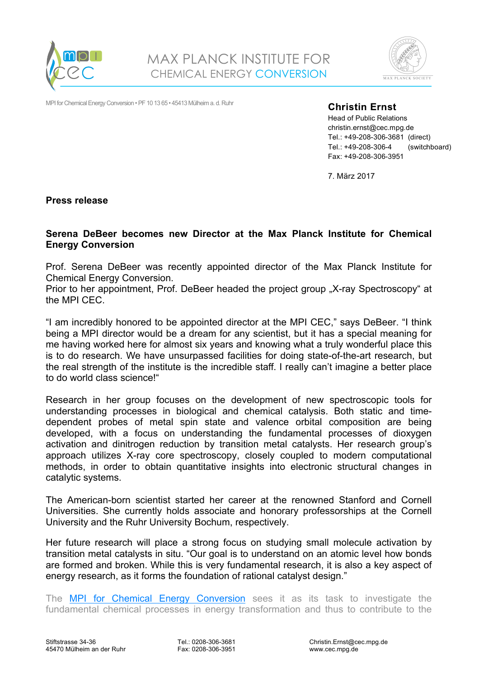



MPI for Chemical Energy Conversion • PF 10 13 65 • 45413 Mülheim a. d. Ruhr

**Christin Ernst** 

Head of Public Relations christin.ernst@cec.mpg.de Tel.: +49-208-306-3681 (direct) Tel.: +49-208-306-4 (switchboard) Fax: +49-208-306-3951

7. März 2017

**Press release** 

## **Serena DeBeer becomes new Director at the Max Planck Institute for Chemical Energy Conversion**

Prof. Serena DeBeer was recently appointed director of the Max Planck Institute for Chemical Energy Conversion.

Prior to her appointment, Prof. DeBeer headed the project group "X-ray Spectroscopy" at the MPI CEC.

"I am incredibly honored to be appointed director at the MPI CEC," says DeBeer. "I think being a MPI director would be a dream for any scientist, but it has a special meaning for me having worked here for almost six years and knowing what a truly wonderful place this is to do research. We have unsurpassed facilities for doing state-of-the-art research, but the real strength of the institute is the incredible staff. I really can't imagine a better place to do world class science!"

Research in her group focuses on the development of new spectroscopic tools for understanding processes in biological and chemical catalysis. Both static and timedependent probes of metal spin state and valence orbital composition are being developed, with a focus on understanding the fundamental processes of dioxygen activation and dinitrogen reduction by transition metal catalysts. Her research group's approach utilizes X-ray core spectroscopy, closely coupled to modern computational methods, in order to obtain quantitative insights into electronic structural changes in catalytic systems.

The American-born scientist started her career at the renowned Stanford and Cornell Universities. She currently holds associate and honorary professorships at the Cornell University and the Ruhr University Bochum, respectively.

Her future research will place a strong focus on studying small molecule activation by transition metal catalysts in situ. "Our goal is to understand on an atomic level how bonds are formed and broken. While this is very fundamental research, it is also a key aspect of energy research, as it forms the foundation of rational catalyst design."

The MPI for Chemical Energy Conversion sees it as its task to investigate the fundamental chemical processes in energy transformation and thus to contribute to the